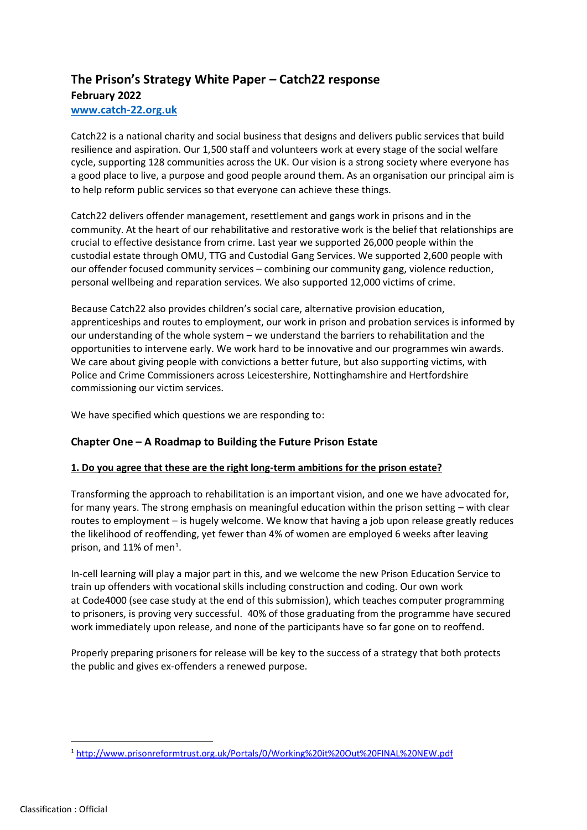# **The Prison's Strategy White Paper – Catch22 response February 2022**

#### **[www.catch-22.org.uk](http://www.catch-22.org.uk/)**

Catch22 is a national charity and social business that designs and delivers public services that build resilience and aspiration. Our 1,500 staff and volunteers work at every stage of the social welfare cycle, supporting 128 communities across the UK. Our vision is a strong society where everyone has a good place to live, a purpose and good people around them. As an organisation our principal aim is to help reform public services so that everyone can achieve these things.

Catch22 delivers offender management, resettlement and gangs work in prisons and in the community. At the heart of our rehabilitative and restorative work is the belief that relationships are crucial to effective desistance from crime. Last year we supported 26,000 people within the custodial estate through OMU, TTG and Custodial Gang Services. We supported 2,600 people with our offender focused community services – combining our community gang, violence reduction, personal wellbeing and reparation services. We also supported 12,000 victims of crime.

Because Catch22 also provides children's social care, alternative provision education, apprenticeships and routes to employment, our work in prison and probation services is informed by our understanding of the whole system – we understand the barriers to rehabilitation and the opportunities to intervene early. We work hard to be innovative and our programmes win awards. We care about giving people with convictions a better future, but also supporting victims, with Police and Crime Commissioners across Leicestershire, Nottinghamshire and Hertfordshire commissioning our victim services.

We have specified which questions we are responding to:

### **Chapter One – A Roadmap to Building the Future Prison Estate**

### **1. Do you agree that these are the right long-term ambitions for the prison estate?**

Transforming the approach to rehabilitation is an important vision, and one we have advocated for, for many years. The strong emphasis on meaningful education within the prison setting – with clear routes to employment – is hugely welcome. We know that having a job upon release greatly reduces the likelihood of reoffending, yet fewer than 4% of women are employed 6 weeks after leaving prison, and 11% of men<sup>1</sup>.

In-cell learning will play a major part in this, and we welcome the new Prison Education Service to train up offenders with vocational skills including construction and coding. Our own work at [Code4000](https://gbr01.safelinks.protection.outlook.com/?url=https%3A%2F%2Fcode4000.org%2F&data=04%7C01%7CMelissa.Milner%40catch-22.org.uk%7C7653dc17094d438ed93008d9b9972f82%7Cf1ded84eebd346b298f8658f4ca1209c%7C0%7C0%7C637744881250007399%7CUnknown%7CTWFpbGZsb3d8eyJWIjoiMC4wLjAwMDAiLCJQIjoiV2luMzIiLCJBTiI6Ik1haWwiLCJXVCI6Mn0%3D%7C3000&sdata=agiL4RZ85OY6OoNcwaEUg3fropSUAWMocNuZHOmu6OA%3D&reserved=0) (see case study at the end of this submission), which teaches computer programming to prisoners, is proving very successful. 40% of those graduating from the programme have secured work immediately upon release, and none of the participants have so far gone on to reoffend.

Properly preparing prisoners for release will be key to the success of a strategy that both protects the public and gives ex-offenders a renewed purpose.

<sup>1</sup> <http://www.prisonreformtrust.org.uk/Portals/0/Working%20it%20Out%20FINAL%20NEW.pdf>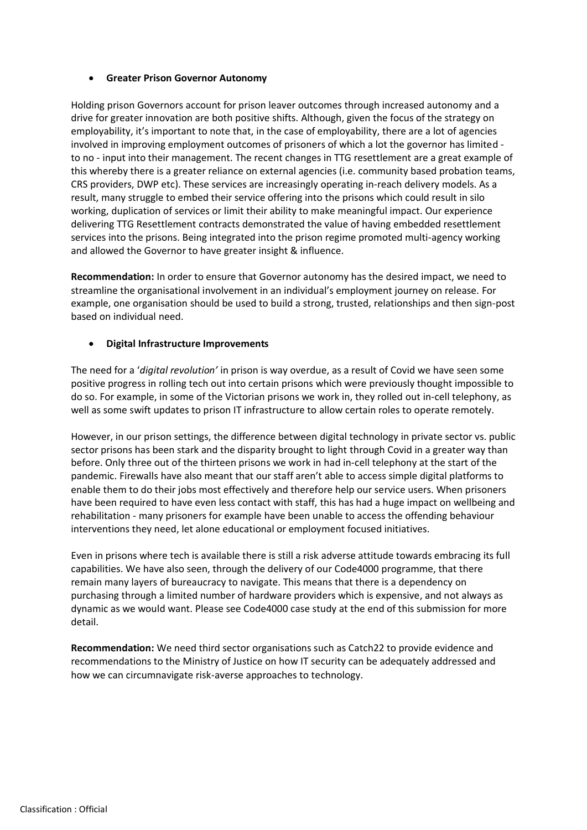#### • **Greater Prison Governor Autonomy**

Holding prison Governors account for prison leaver outcomes through increased autonomy and a drive for greater innovation are both positive shifts. Although, given the focus of the strategy on employability, it's important to note that, in the case of employability, there are a lot of agencies involved in improving employment outcomes of prisoners of which a lot the governor has limited to no - input into their management. The recent changes in TTG resettlement are a great example of this whereby there is a greater reliance on external agencies (i.e. community based probation teams, CRS providers, DWP etc). These services are increasingly operating in-reach delivery models. As a result, many struggle to embed their service offering into the prisons which could result in silo working, duplication of services or limit their ability to make meaningful impact. Our experience delivering TTG Resettlement contracts demonstrated the value of having embedded resettlement services into the prisons. Being integrated into the prison regime promoted multi-agency working and allowed the Governor to have greater insight & influence.

**Recommendation:** In order to ensure that Governor autonomy has the desired impact, we need to streamline the organisational involvement in an individual's employment journey on release. For example, one organisation should be used to build a strong, trusted, relationships and then sign-post based on individual need.

#### • **Digital Infrastructure Improvements**

The need for a '*digital revolution'* in prison is way overdue, as a result of Covid we have seen some positive progress in rolling tech out into certain prisons which were previously thought impossible to do so. For example, in some of the Victorian prisons we work in, they rolled out in-cell telephony, as well as some swift updates to prison IT infrastructure to allow certain roles to operate remotely.

However, in our prison settings, the difference between digital technology in private sector vs. public sector prisons has been stark and the disparity brought to light through Covid in a greater way than before. Only three out of the thirteen prisons we work in had in-cell telephony at the start of the pandemic. Firewalls have also meant that our staff aren't able to access simple digital platforms to enable them to do their jobs most effectively and therefore help our service users. When prisoners have been required to have even less contact with staff, this has had a huge impact on wellbeing and rehabilitation - many prisoners for example have been unable to access the offending behaviour interventions they need, let alone educational or employment focused initiatives.

Even in prisons where tech is available there is still a risk adverse attitude towards embracing its full capabilities. We have also seen, through the delivery of our Code4000 programme, that there remain many layers of bureaucracy to navigate. This means that there is a dependency on purchasing through a limited number of hardware providers which is expensive, and not always as dynamic as we would want. Please see Code4000 case study at the end of this submission for more detail.

**Recommendation:** We need third sector organisations such as Catch22 to provide evidence and recommendations to the Ministry of Justice on how IT security can be adequately addressed and how we can circumnavigate risk-averse approaches to technology.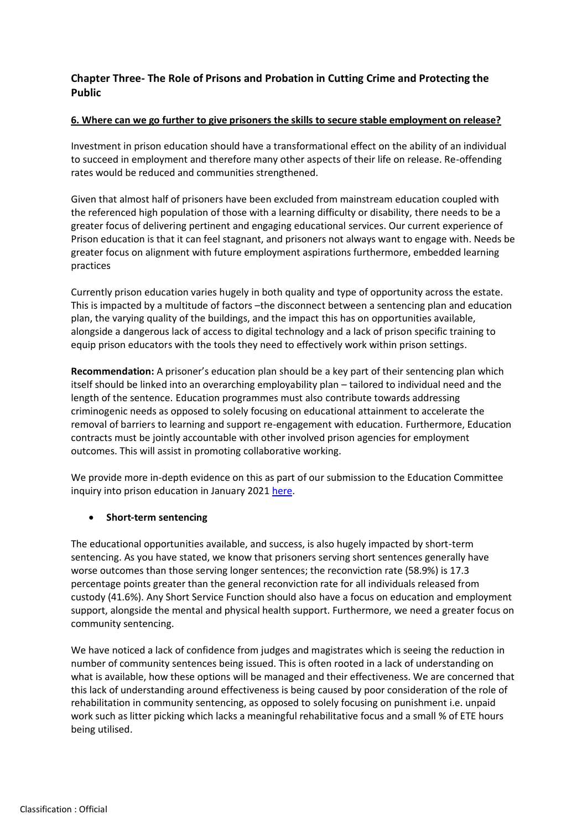## **Chapter Three- The Role of Prisons and Probation in Cutting Crime and Protecting the Public**

#### **6. Where can we go further to give prisoners the skills to secure stable employment on release?**

Investment in prison education should have a transformational effect on the ability of an individual to succeed in employment and therefore many other aspects of their life on release. Re-offending rates would be reduced and communities strengthened.

Given that almost half of prisoners have been excluded from mainstream education coupled with the referenced high population of those with a learning difficulty or disability, there needs to be a greater focus of delivering pertinent and engaging educational services. Our current experience of Prison education is that it can feel stagnant, and prisoners not always want to engage with. Needs be greater focus on alignment with future employment aspirations furthermore, embedded learning practices

Currently prison education varies hugely in both quality and type of opportunity across the estate. This is impacted by a multitude of factors –the disconnect between a sentencing plan and education plan, the varying quality of the buildings, and the impact this has on opportunities available, alongside a dangerous lack of access to digital technology and a lack of prison specific training to equip prison educators with the tools they need to effectively work within prison settings.

**Recommendation:** A prisoner's education plan should be a key part of their sentencing plan which itself should be linked into an overarching employability plan – tailored to individual need and the length of the sentence. Education programmes must also contribute towards addressing criminogenic needs as opposed to solely focusing on educational attainment to accelerate the removal of barriers to learning and support re-engagement with education. Furthermore, Education contracts must be jointly accountable with other involved prison agencies for employment outcomes. This will assist in promoting collaborative working.

We provide more in-depth evidence on this as part of our submission to the Education Committee inquiry into prison education in January 2021 [here.](https://www.catch-22.org.uk/news/prison-education/)

### • **Short-term sentencing**

The educational opportunities available, and success, is also hugely impacted by short-term sentencing. As you have stated, we know that prisoners serving short sentences generally have worse outcomes than those serving longer sentences; the reconviction rate (58.9%) is 17.3 percentage points greater than the general reconviction rate for all individuals released from custody (41.6%). Any Short Service Function should also have a focus on education and employment support, alongside the mental and physical health support. Furthermore, we need a greater focus on community sentencing.

We have noticed a lack of confidence from judges and magistrates which is seeing the reduction in number of community sentences being issued. This is often rooted in a lack of understanding on what is available, how these options will be managed and their effectiveness. We are concerned that this lack of understanding around effectiveness is being caused by poor consideration of the role of rehabilitation in community sentencing, as opposed to solely focusing on punishment i.e. unpaid work such as litter picking which lacks a meaningful rehabilitative focus and a small % of ETE hours being utilised.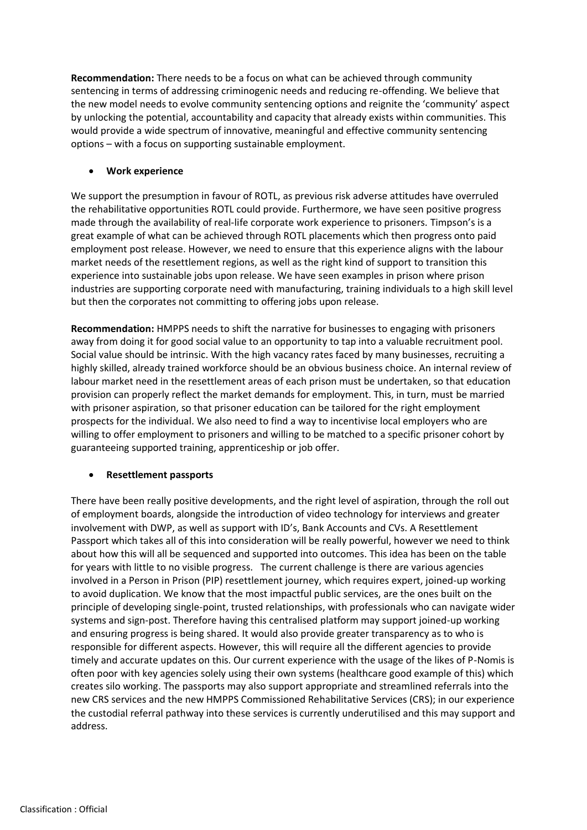**Recommendation:** There needs to be a focus on what can be achieved through community sentencing in terms of addressing criminogenic needs and reducing re-offending. We believe that the new model needs to evolve community sentencing options and reignite the 'community' aspect by unlocking the potential, accountability and capacity that already exists within communities. This would provide a wide spectrum of innovative, meaningful and effective community sentencing options – with a focus on supporting sustainable employment.

#### • **Work experience**

We support the presumption in favour of ROTL, as previous risk adverse attitudes have overruled the rehabilitative opportunities ROTL could provide. Furthermore, we have seen positive progress made through the availability of real-life corporate work experience to prisoners. Timpson's is a great example of what can be achieved through ROTL placements which then progress onto paid employment post release. However, we need to ensure that this experience aligns with the labour market needs of the resettlement regions, as well as the right kind of support to transition this experience into sustainable jobs upon release. We have seen examples in prison where prison industries are supporting corporate need with manufacturing, training individuals to a high skill level but then the corporates not committing to offering jobs upon release.

**Recommendation:** HMPPS needs to shift the narrative for businesses to engaging with prisoners away from doing it for good social value to an opportunity to tap into a valuable recruitment pool. Social value should be intrinsic. With the high vacancy rates faced by many businesses, recruiting a highly skilled, already trained workforce should be an obvious business choice. An internal review of labour market need in the resettlement areas of each prison must be undertaken, so that education provision can properly reflect the market demands for employment. This, in turn, must be married with prisoner aspiration, so that prisoner education can be tailored for the right employment prospects for the individual. We also need to find a way to incentivise local employers who are willing to offer employment to prisoners and willing to be matched to a specific prisoner cohort by guaranteeing supported training, apprenticeship or job offer.

#### • **Resettlement passports**

There have been really positive developments, and the right level of aspiration, through the roll out of employment boards, alongside the introduction of video technology for interviews and greater involvement with DWP, as well as support with ID's, Bank Accounts and CVs. A Resettlement Passport which takes all of this into consideration will be really powerful, however we need to think about how this will all be sequenced and supported into outcomes. This idea has been on the table for years with little to no visible progress. The current challenge is there are various agencies involved in a Person in Prison (PIP) resettlement journey, which requires expert, joined-up working to avoid duplication. We know that the most impactful public services, are the ones built on the principle of developing single-point, trusted relationships, with professionals who can navigate wider systems and sign-post. Therefore having this centralised platform may support joined-up working and ensuring progress is being shared. It would also provide greater transparency as to who is responsible for different aspects. However, this will require all the different agencies to provide timely and accurate updates on this. Our current experience with the usage of the likes of P-Nomis is often poor with key agencies solely using their own systems (healthcare good example of this) which creates silo working. The passports may also support appropriate and streamlined referrals into the new CRS services and the new HMPPS Commissioned Rehabilitative Services (CRS); in our experience the custodial referral pathway into these services is currently underutilised and this may support and address.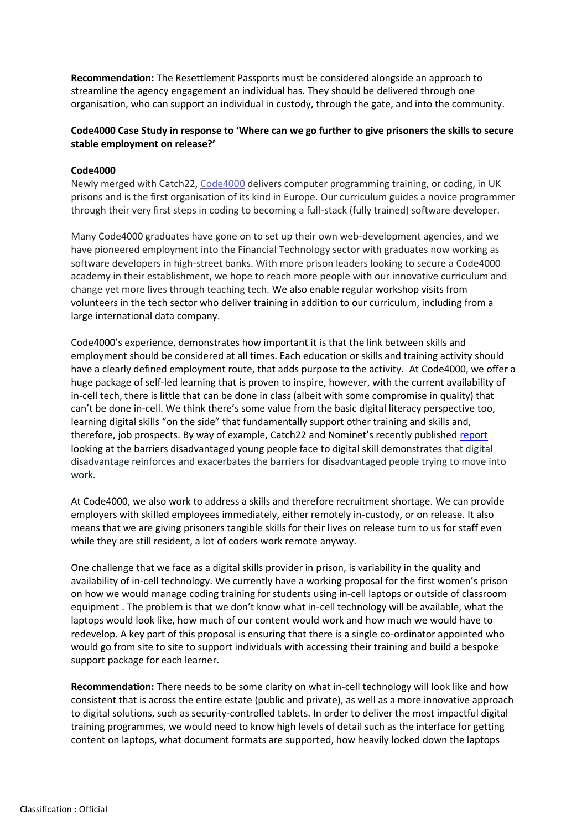**Recommendation:** The Resettlement Passports must be considered alongside an approach to streamline the agency engagement an individual has. They should be delivered through one organisation, who can support an individual in custody, through the gate, and into the community.

#### **Code4000 Case Study in response to 'Where can we go further to give prisoners the skills to secure stable employment on release?'**

### **Code4000**

Newly merged with Catch22, [Code4000](https://code4000.org/) delivers computer programming training, or coding, in UK prisons and is the first organisation of its kind in Europe. Our curriculum guides a novice programmer through their very first steps in coding to becoming a full-stack (fully trained) software developer.

Many Code4000 graduates have gone on to set up their own web-development agencies, and we have pioneered employment into the Financial Technology sector with graduates now working as software developers in high-street banks. With more prison leaders looking to secure a Code4000 academy in their establishment, we hope to reach more people with our innovative curriculum and change yet more lives through teaching tech. We also enable regular workshop visits from volunteers in the tech sector who deliver training in addition to our curriculum, including from a large international data company.

Code4000's experience, demonstrates how important it is that the link between skills and employment should be considered at all times. Each education or skills and training activity should have a clearly defined employment route, that adds purpose to the activity. At Code4000, we offer a huge package of self-led learning that is proven to inspire, however, with the current availability of in-cell tech, there is little that can be done in class (albeit with some compromise in quality) that can't be done in-cell. We think there's some value from the basic digital literacy perspective too, learning digital skills "on the side" that fundamentally support other training and skills and, therefore, job prospects. By way of example, Catch22 and Nominet's recently published [report](https://www.catch-22.org.uk/news/catch22-and-nominet-launch-first-in-series-of-4-insights-papers-looking-at-barriers-to-digital-skills-and-access/) looking at the barriers disadvantaged young people face to digital skill demonstrates that digital disadvantage reinforces and exacerbates the barriers for disadvantaged people trying to move into work.

At Code4000, we also work to address a skills and therefore recruitment shortage. We can provide employers with skilled employees immediately, either remotely in-custody, or on release. It also means that we are giving prisoners tangible skills for their lives on release turn to us for staff even while they are still resident, a lot of coders work remote anyway.

One challenge that we face as a digital skills provider in prison, is variability in the quality and availability of in-cell technology. We currently have a working proposal for the first women's prison on how we would manage coding training for students using in-cell laptops or outside of classroom equipment . The problem is that we don't know what in-cell technology will be available, what the laptops would look like, how much of our content would work and how much we would have to redevelop. A key part of this proposal is ensuring that there is a single co-ordinator appointed who would go from site to site to support individuals with accessing their training and build a bespoke support package for each learner.

**Recommendation:** There needs to be some clarity on what in-cell technology will look like and how consistent that is across the entire estate (public and private), as well as a more innovative approach to digital solutions, such as security-controlled tablets. In order to deliver the most impactful digital training programmes, we would need to know high levels of detail such as the interface for getting content on laptops, what document formats are supported, how heavily locked down the laptops